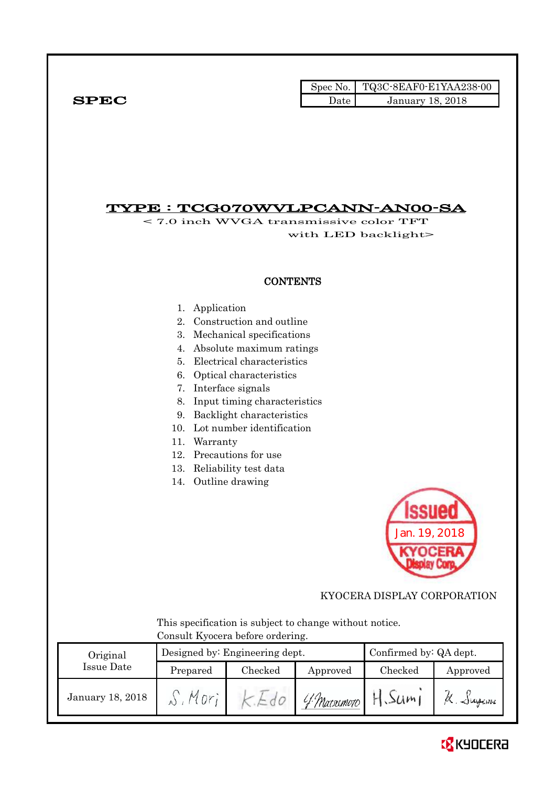|              |      | Spec No. $\vert$ TQ3C-8EAF0-E1YAA238-00 |
|--------------|------|-----------------------------------------|
| ${\bf SPEC}$ | Date | <b>January 18, 2018</b>                 |

# TYPE : TCG070WVLPCANN-AN00-SA

< 7.0 inch WVGA transmissive color TFT with LED backlight>

### **CONTENTS**

- 1. Application
- 2. Construction and outline
- 3. Mechanical specifications
- 4. Absolute maximum ratings
- 5. Electrical characteristics
- 6. Optical characteristics
- 7. Interface signals
- 8. Input timing characteristics
- 9. Backlight characteristics
- 10. Lot number identification
- 11. Warranty
- 12. Precautions for use
- 13. Reliability test data
- 14. Outline drawing



KYOCERA DISPLAY CORPORATION

 This specification is subject to change without notice. Consult Kyocera before ordering.

| Original         |                     | Designed by: Engineering dept. | Confirmed by: QA dept. |         |                   |
|------------------|---------------------|--------------------------------|------------------------|---------|-------------------|
| Issue Date       | Checked<br>Prepared |                                | Approved               | Checked | Approved          |
| January 18, 2018 |                     |                                | 4 Matacmoto            | 3Um1    | $\alpha$ . Jugeme |

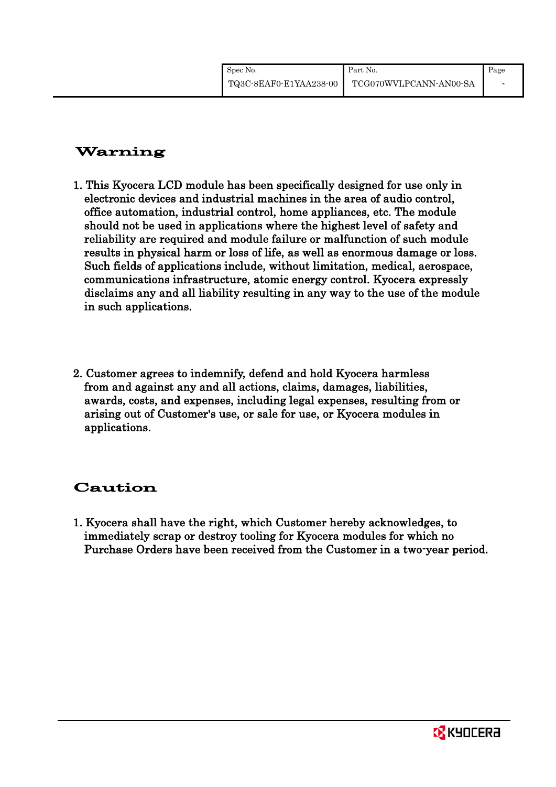| Spec No.               | Part No.               | Page                     |
|------------------------|------------------------|--------------------------|
| TQ3C-8EAF0-E1YAA238-00 | TCG070WVLPCANN-AN00-SA | $\overline{\phantom{0}}$ |

# Warning

- 1. This Kyocera LCD module has been specifically designed for use only in electronic devices and industrial machines in the area of audio control, office automation, industrial control, home appliances, etc. The module should not be used in applications where the highest level of safety and reliability are required and module failure or malfunction of such module results in physical harm or loss of life, as well as enormous damage or loss. Such fields of applications include, without limitation, medical, aerospace, communications infrastructure, atomic energy control. Kyocera expressly disclaims any and all liability resulting in any way to the use of the module in such applications.
- 2. Customer agrees to indemnify, defend and hold Kyocera harmless from and against any and all actions, claims, damages, liabilities, awards, costs, and expenses, including legal expenses, resulting from or arising out of Customer's use, or sale for use, or Kyocera modules in applications.

# Caution

1. Kyocera shall have the right, which Customer hereby acknowledges, to immediately scrap or destroy tooling for Kyocera modules for which no Purchase Orders have been received from the Customer in a two-year period.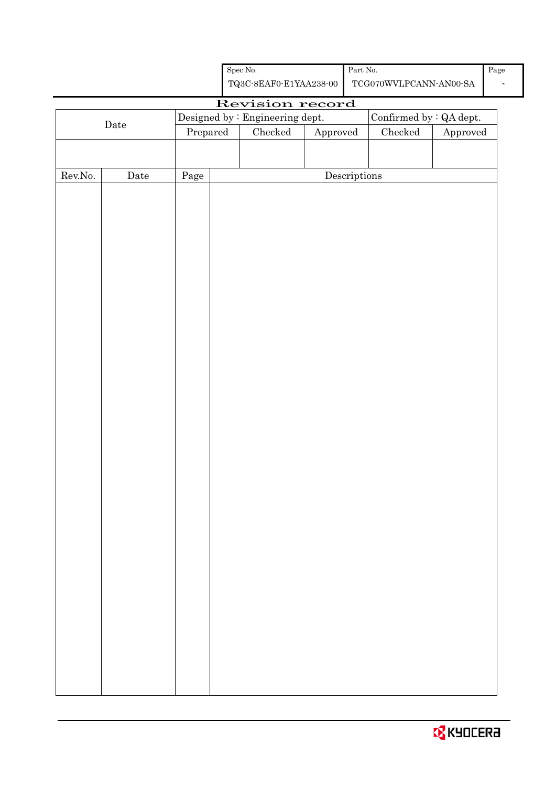| Spec No.               | Part No.               | Page |
|------------------------|------------------------|------|
| TQ3C-8EAF0-E1YAA238-00 | TCG070WVLPCANN-AN00-SA | -    |

# Revision record

|                  |             |          | Designed by : Engineering dept. |               |                                      | Confirmed by $\colon$ QA dept. |                        |
|------------------|-------------|----------|---------------------------------|---------------|--------------------------------------|--------------------------------|------------------------|
|                  | $\rm{Date}$ | Prepared |                                 | $\rm Checked$ | Approved                             | $\rm Checked$                  | ${\Large\bf Approved}$ |
|                  |             |          |                                 |               |                                      |                                |                        |
|                  |             |          |                                 |               |                                      |                                |                        |
| ${\rm Rev. No.}$ | Date        | Page     |                                 |               | $\label{eq:2} \textbf{Descriptions}$ |                                |                        |
|                  |             |          |                                 |               |                                      |                                |                        |
|                  |             |          |                                 |               |                                      |                                |                        |
|                  |             |          |                                 |               |                                      |                                |                        |
|                  |             |          |                                 |               |                                      |                                |                        |
|                  |             |          |                                 |               |                                      |                                |                        |
|                  |             |          |                                 |               |                                      |                                |                        |
|                  |             |          |                                 |               |                                      |                                |                        |
|                  |             |          |                                 |               |                                      |                                |                        |
|                  |             |          |                                 |               |                                      |                                |                        |
|                  |             |          |                                 |               |                                      |                                |                        |
|                  |             |          |                                 |               |                                      |                                |                        |
|                  |             |          |                                 |               |                                      |                                |                        |
|                  |             |          |                                 |               |                                      |                                |                        |
|                  |             |          |                                 |               |                                      |                                |                        |
|                  |             |          |                                 |               |                                      |                                |                        |
|                  |             |          |                                 |               |                                      |                                |                        |
|                  |             |          |                                 |               |                                      |                                |                        |
|                  |             |          |                                 |               |                                      |                                |                        |
|                  |             |          |                                 |               |                                      |                                |                        |
|                  |             |          |                                 |               |                                      |                                |                        |
|                  |             |          |                                 |               |                                      |                                |                        |
|                  |             |          |                                 |               |                                      |                                |                        |
|                  |             |          |                                 |               |                                      |                                |                        |
|                  |             |          |                                 |               |                                      |                                |                        |
|                  |             |          |                                 |               |                                      |                                |                        |
|                  |             |          |                                 |               |                                      |                                |                        |
|                  |             |          |                                 |               |                                      |                                |                        |
|                  |             |          |                                 |               |                                      |                                |                        |
|                  |             |          |                                 |               |                                      |                                |                        |
|                  |             |          |                                 |               |                                      |                                |                        |
|                  |             |          |                                 |               |                                      |                                |                        |
|                  |             |          |                                 |               |                                      |                                |                        |
|                  |             |          |                                 |               |                                      |                                |                        |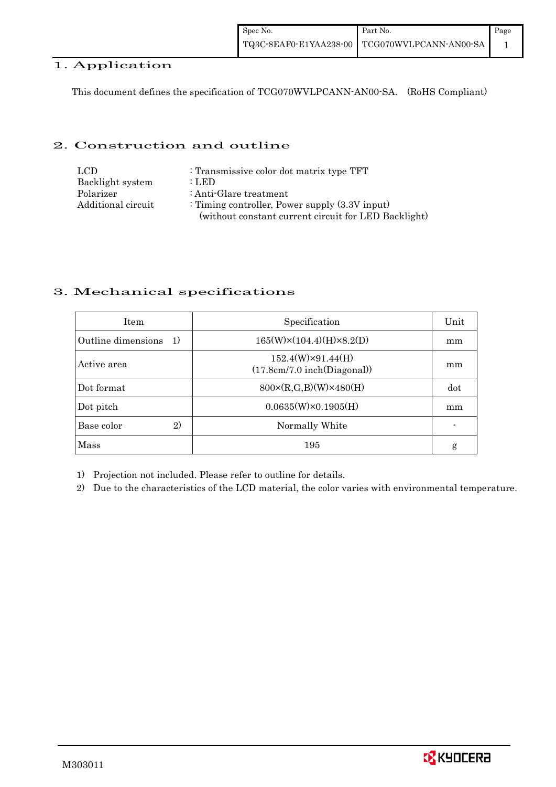#### 1. Application

This document defines the specification of TCG070WVLPCANN-AN00-SA. (RoHS Compliant)

#### 2. Construction and outline

| LCD                | : Transmissive color dot matrix type TFT             |
|--------------------|------------------------------------------------------|
| Backlight system   | : LED                                                |
| Polarizer          | : Anti-Glare treatment                               |
| Additional circuit | : Timing controller, Power supply $(3.3V)$ input)    |
|                    | (without constant current circuit for LED Backlight) |

#### 3. Mechanical specifications

| <b>Item</b>                | Specification                                           | Unit |
|----------------------------|---------------------------------------------------------|------|
| Outline dimensions<br>1)   | $165(W)\times(104.4)(H)\times8.2(D)$                    | mm   |
| Active area                | $152.4(W)\times91.44(H)$<br>(17.8cm/7.0 inch(Diagonal)) | mm   |
| Dot format                 | $800 \times (R, G, B)(W) \times 480(H)$                 | dot  |
| Dot pitch                  | $0.0635(W)\times0.1905(H)$                              | mm   |
| Base color<br>$\mathbf{2}$ | Normally White                                          |      |
| Mass                       | 195                                                     | g    |

1) Projection not included. Please refer to outline for details.

2) Due to the characteristics of the LCD material, the color varies with environmental temperature.

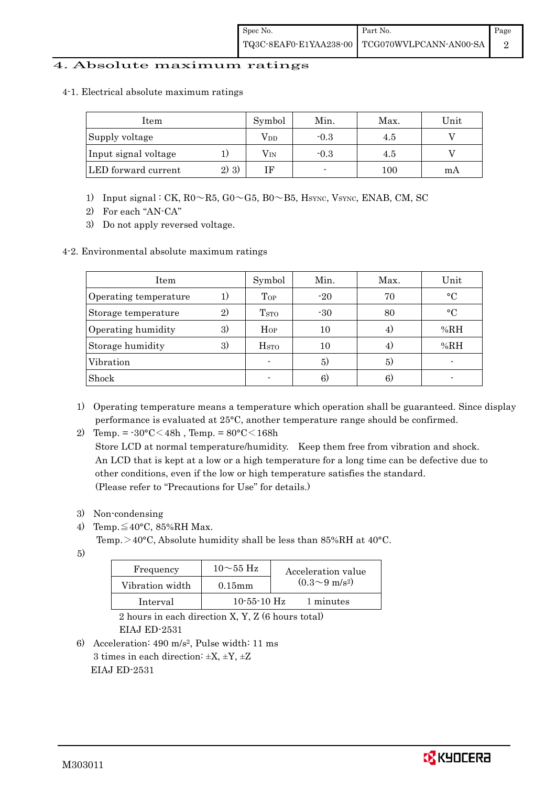#### 4. Absolute maximum ratings

4-1. Electrical absolute maximum ratings

| Item                 |         | Symbol       | Min.   | Max. | Unit |
|----------------------|---------|--------------|--------|------|------|
| Supply voltage       |         | Vpd          | $-0.3$ | 4.5  |      |
| Input signal voltage |         | $\rm V_{IN}$ | $-0.3$ | 4.5  |      |
| LED forward current  | $2)$ 3) |              |        | 100  | mА   |

- 1) Input signal : CK,  $R0 \sim R5$ ,  $G0 \sim G5$ ,  $B0 \sim B5$ , HSYNC, VSYNC, ENAB, CM, SC
- 2) For each "AN-CA"
- 3) Do not apply reversed voltage.

#### 4-2. Environmental absolute maximum ratings

| Item                  |    | Symbol             | Min.  | Max. | Unit      |
|-----------------------|----|--------------------|-------|------|-----------|
| Operating temperature |    | $_{Top}$           | $-20$ | 70   | $\circ$ C |
| Storage temperature   | 2) | T <sub>STO</sub>   | $-30$ | 80   | $\circ$ C |
| Operating humidity    | 3) | $H_{OP}$           | 10    | 4.   | % $RH$    |
| Storage humidity      | 3) | $_{\mathrm{HSTO}}$ | 10    | 4)   | %RH       |
| Vibration             |    |                    | 5)    | 5)   |           |
| Shock                 |    |                    | 6)    | 6.   |           |

1) Operating temperature means a temperature which operation shall be guaranteed. Since display performance is evaluated at 25°C, another temperature range should be confirmed.

2) Temp. =  $-30^{\circ}$ C $<$ 48h, Temp. =  $80^{\circ}$ C $<$ 168h

 Store LCD at normal temperature/humidity. Keep them free from vibration and shock. An LCD that is kept at a low or a high temperature for a long time can be defective due to other conditions, even if the low or high temperature satisfies the standard. (Please refer to "Precautions for Use" for details.)

- 3) Non-condensing
- 4) Temp. $\leq 40^{\circ}$ C, 85%RH Max.
	- Temp. >40°C, Absolute humidity shall be less than 85%RH at 40°C.
- 5)

| Frequency       | $10\sim$ 55 Hz | Acceleration value         |
|-----------------|----------------|----------------------------|
| Vibration width | $0.15$ m m     | $(0.3{\sim}9~{\rm m/s^2})$ |
| Interval        | $10-55-10$ Hz  | 1 minutes                  |

 2 hours in each direction X, Y, Z (6 hours total) EIAJ ED-2531

6) Acceleration: 490 m/s2, Pulse width: 11 ms 3 times in each direction:  $\pm X$ ,  $\pm Y$ ,  $\pm Z$ EIAJ ED-2531

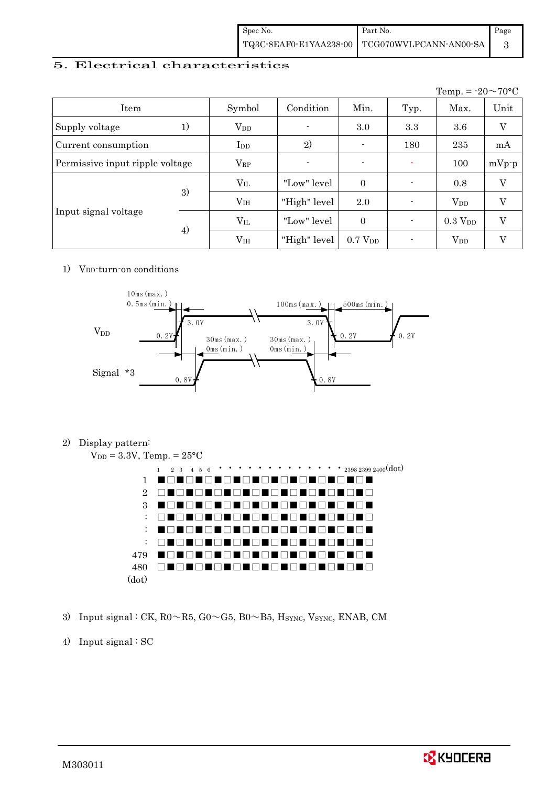| Spec No. | Part No.                                      | Page |
|----------|-----------------------------------------------|------|
|          | TQ3C-8EAF0-E1YAA238-00 TCG070WVLPCANN-AN00-SA |      |

#### 5. Electrical characteristics

|                                 |    |                        |                |                     |                | Temp. = $-20 \sim 70$ °C |         |
|---------------------------------|----|------------------------|----------------|---------------------|----------------|--------------------------|---------|
| Item                            |    | Symbol                 | Condition      | Min.                | Typ.           | Max.                     | Unit    |
| Supply voltage                  | 1) | <b>V</b> <sub>DD</sub> | $\blacksquare$ | 3.0                 | 3.3            | 3.6                      | V       |
| Current consumption             |    | $_{\rm{LDD}}$          | 2)             | -                   | 180            | 235                      | mA      |
| Permissive input ripple voltage |    | $V_{RP}$               | $\blacksquare$ | $\blacksquare$      | ÷              | 100                      | $mVp-p$ |
| Input signal voltage            |    | $V_{\rm IL}$           | "Low" level    | $\overline{0}$      | $\blacksquare$ | 0.8                      | V       |
|                                 | 3) | V <sub>IH</sub>        | "High" level   | 2.0                 |                | $V_{DD}$                 | V       |
|                                 |    | $V_{\rm IL}$           | "Low" level    | $\theta$            | $\blacksquare$ | $0.3\ \mathrm{V_{DD}}$   | V       |
|                                 | 4) | V <sub>IH</sub>        | "High" level   | 0.7 V <sub>DD</sub> |                | $V_{DD}$                 | V       |

#### 1)  $V_{DD}$ -turn-on conditions



2) Display pattern:





- 3) Input signal : CK, R0~R5, G0~G5, B0~B5, HSYNC, VSYNC, ENAB, CM
- 4) Input signal : SC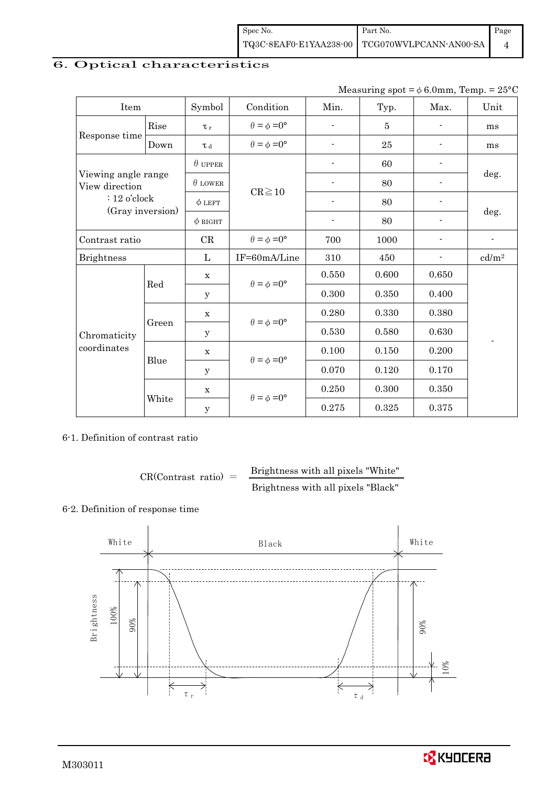| Spec No. | Part No.                                      | Page |
|----------|-----------------------------------------------|------|
|          | TQ3C-8EAF0-E1YAA238-00 TCG070WVLPCANN-AN00-SA |      |

## 6. Optical characteristics

| Measuring spot = $\phi$ 6.0mm, Temp. = 25°C |
|---------------------------------------------|
|                                             |

| Item                                  |                         | Symbol         | Condition                   | Min.           | Typ.           | Max.                     | Unit                     |
|---------------------------------------|-------------------------|----------------|-----------------------------|----------------|----------------|--------------------------|--------------------------|
|                                       | Rise                    | $\tau_r$       | $\theta = \phi = 0^{\circ}$ | ÷              | $\overline{5}$ |                          | ms                       |
| Response time                         | Down                    | $\tau$ d       | $\theta = \phi = 0^{\circ}$ | $\overline{a}$ | 25             |                          | ms                       |
|                                       |                         | $\theta$ upper |                             | 60             |                |                          |                          |
| Viewing angle range<br>View direction |                         | $\theta$ LOWER |                             |                | 80             |                          | deg.                     |
| $: 12$ o'clock                        |                         | $\phi$ LEFT    | $CR \ge 10$                 | $\blacksquare$ | 80             | $\overline{\phantom{a}}$ |                          |
| (Gray inversion)                      |                         | $\phi$ RIGHT   |                             | $\overline{a}$ | 80             |                          | deg.                     |
| Contrast ratio                        |                         | CR             | $\theta = \phi = 0^{\circ}$ | 700            | 1000           |                          | $\overline{\phantom{a}}$ |
| <b>Brightness</b>                     |                         | L              | IF=60mA/Line                | 310            | 450            | $\blacksquare$           | cd/m <sup>2</sup>        |
|                                       | $\mathbf X$<br>Red<br>у |                | $\theta = \phi = 0^{\circ}$ | 0.550          | 0.600          | 0.650                    |                          |
|                                       |                         |                |                             | 0.300          | 0.350          | 0.400                    |                          |
|                                       |                         | $\mathbf X$    |                             | 0.280          | 0.330          | 0.380                    |                          |
| Chromaticity                          | Green                   | y              | $\theta = \phi = 0^{\circ}$ | 0.530          | 0.580          | 0.630                    |                          |
| coordinates                           |                         | $\mathbf X$    |                             | 0.100          | 0.150          | 0.200                    |                          |
|                                       | Blue                    | у              | $\theta = \phi = 0^{\circ}$ | 0.070          | 0.120          | 0.170                    |                          |
|                                       |                         | $\mathbf X$    |                             | 0.250          | 0.300          | 0.350                    |                          |
|                                       | White                   | $\mathbf y$    | $\theta = \phi = 0^{\circ}$ | 0.275          | 0.325          | 0.375                    |                          |

6-1. Definition of contrast ratio

 $CR(Contrast ratio) =$  Brightness with all pixels "White" Brightness with all pixels "Black"

#### 6-2. Definition of response time



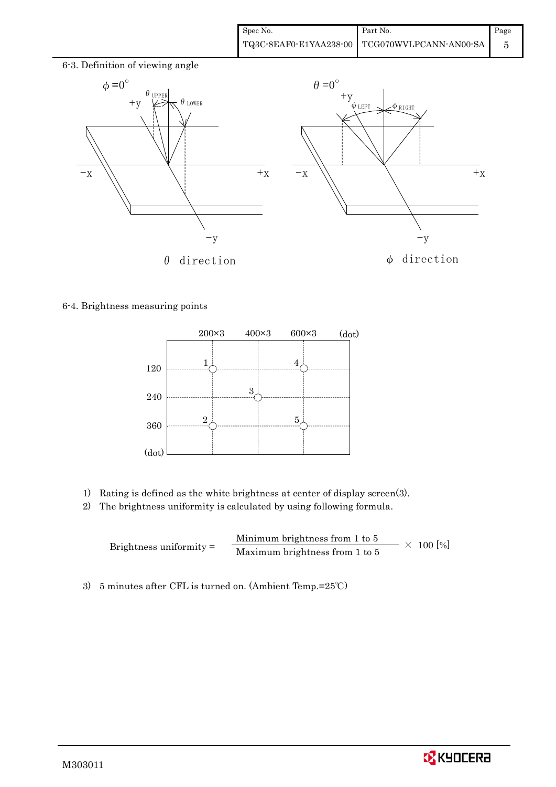

#### 6-4. Brightness measuring points



- 1) Rating is defined as the white brightness at center of display screen(3).
- 2) The brightness uniformity is calculated by using following formula.

Brightness uniformity = Minimum brightness from 1 to 5  $\times$  100 [%]<br>Maximum brightness from 1 to 5

3) 5 minutes after CFL is turned on. (Ambient Temp.=25℃)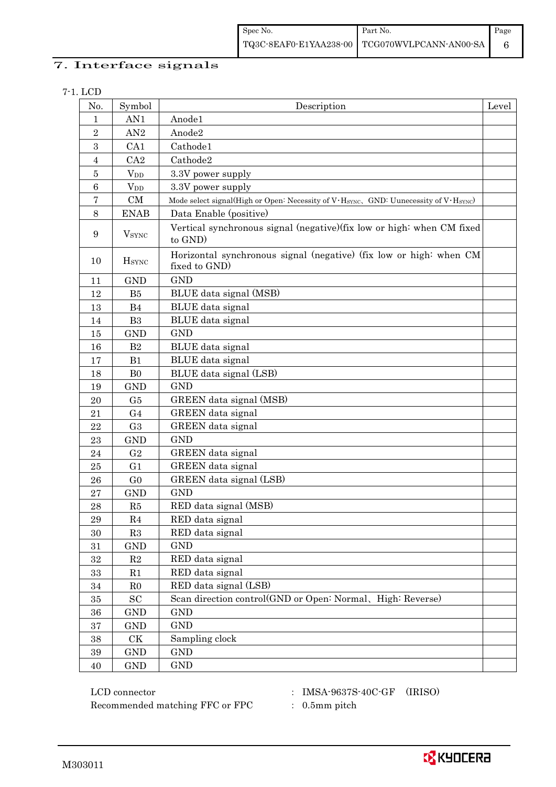| Spec No. | Part No.                                      | Page |
|----------|-----------------------------------------------|------|
|          | TQ3C-8EAF0-E1YAA238-00 TCG070WVLPCANN-AN00-SA |      |

### 7. Interface signals

#### 7-1. LCD

| No.            | Symbol                   | Description                                                                                                   | Level |
|----------------|--------------------------|---------------------------------------------------------------------------------------------------------------|-------|
| 1              | AN1                      | Anode1                                                                                                        |       |
| $\sqrt{2}$     | AN2                      | Anode2                                                                                                        |       |
| 3              | CA1                      | Cathode1                                                                                                      |       |
| $\overline{4}$ | CA2                      | Cathode2                                                                                                      |       |
| $\overline{5}$ | $V_{DD}$                 | 3.3V power supply                                                                                             |       |
| $\,6$          | <b>V</b> <sub>DD</sub>   | 3.3V power supply                                                                                             |       |
| 7              | CM                       | Mode select signal(High or Open: Necessity of V·H <sub>SYNC</sub> , GND: Uunecessity of V·H <sub>SYNC</sub> ) |       |
| 8              | <b>ENAB</b>              | Data Enable (positive)                                                                                        |       |
| 9              | <b>V</b> <sub>SYNC</sub> | Vertical synchronous signal (negative) (fix low or high: when CM fixed<br>to GND)                             |       |
| 10             | <b>H</b> sync            | Horizontal synchronous signal (negative) (fix low or high: when CM<br>fixed to GND)                           |       |
| 11             | <b>GND</b>               | <b>GND</b>                                                                                                    |       |
| 12             | B5                       | BLUE data signal (MSB)                                                                                        |       |
| 13             | B <sub>4</sub>           | BLUE data signal                                                                                              |       |
| 14             | B <sub>3</sub>           | BLUE data signal                                                                                              |       |
| 15             | <b>GND</b>               | <b>GND</b>                                                                                                    |       |
| 16             | B2                       | BLUE data signal                                                                                              |       |
| 17             | B1                       | BLUE data signal                                                                                              |       |
| 18             | B <sub>0</sub>           | BLUE data signal (LSB)                                                                                        |       |
| 19             | <b>GND</b>               | <b>GND</b>                                                                                                    |       |
| 20             | G5                       | GREEN data signal (MSB)                                                                                       |       |
| 21             | G <sub>4</sub>           | GREEN data signal                                                                                             |       |
| 22             | G <sub>3</sub>           | GREEN data signal                                                                                             |       |
| 23             | <b>GND</b>               | <b>GND</b>                                                                                                    |       |
| 24             | G <sub>2</sub>           | GREEN data signal                                                                                             |       |
| $\bf 25$       | G1                       | GREEN data signal                                                                                             |       |
| ${\bf 26}$     | G <sub>0</sub>           | GREEN data signal (LSB)                                                                                       |       |
| 27             | <b>GND</b>               | <b>GND</b>                                                                                                    |       |
| 28             | R5                       | RED data signal (MSB)                                                                                         |       |
| $\bf 29$       | R4                       | RED data signal                                                                                               |       |
| 30             | R3                       | RED data signal                                                                                               |       |
| 31             | $\operatorname{GND}$     | <b>GND</b>                                                                                                    |       |
| $32\,$         | $\mathbf{R}2$            | RED data signal                                                                                               |       |
| $33\,$         | $\rm R1$                 | RED data signal                                                                                               |       |
| $34\,$         | R <sub>0</sub>           | RED data signal (LSB)                                                                                         |       |
| $35\,$         | ${\rm SC}$               | Scan direction control(GND or Open: Normal、High: Reverse)                                                     |       |
| $36\,$         | <b>GND</b>               | <b>GND</b>                                                                                                    |       |
| $37\,$         | <b>GND</b>               | <b>GND</b>                                                                                                    |       |
| $38\,$         | CK                       | Sampling clock                                                                                                |       |
| $39\,$         | GND                      | <b>GND</b>                                                                                                    |       |
| $40\,$         | $\mathop{\rm GND}$       | <b>GND</b>                                                                                                    |       |

 LCD connector : IMSA-9637S-40C-GF (IRISO) Recommended matching FFC or FPC : 0.5mm pitch

- 
- 

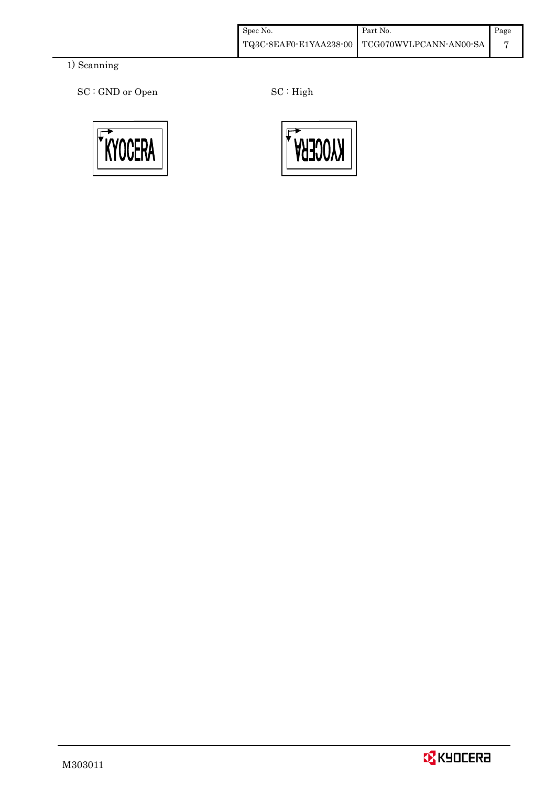| Spec No. | Part No.                                      | Page |
|----------|-----------------------------------------------|------|
|          | TQ3C-8EAF0-E1YAA238-00 TCG070WVLPCANN-AN00-SA |      |

### 1) Scanning

SC : GND or Open SC : High





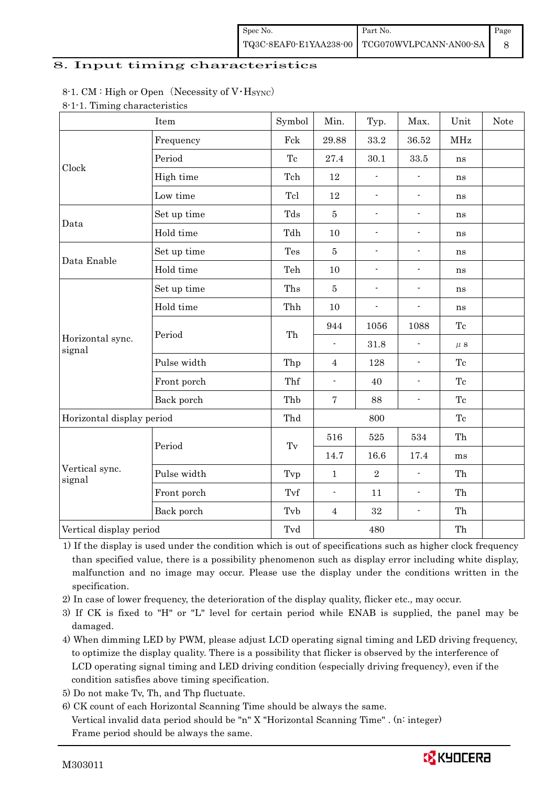| Spec No. | Part No.                                      | Page |
|----------|-----------------------------------------------|------|
|          | TQ3C-8EAF0-E1YAA238-00 TCG070WVLPCANN-AN00-SA |      |

#### 8. Input timing characteristics

#### 8-1. CM : High or Open (Necessity of  $V·H<sub>SYNC</sub>$ )

| Item                       |             | Symbol              | Min.                     | Typ.           | Max.                     | Unit       | Note |
|----------------------------|-------------|---------------------|--------------------------|----------------|--------------------------|------------|------|
|                            | Frequency   | Fck                 | 29.88                    | 33.2           | 36.52                    | <b>MHz</b> |      |
|                            | Period      | Tc                  | 27.4                     | 30.1           | 33.5                     | ns         |      |
| Clock                      | High time   | Tch                 | 12                       | $\overline{a}$ |                          | ns         |      |
|                            | Low time    | Tcl                 | $12\,$                   | $\frac{1}{2}$  | $\blacksquare$           | ns         |      |
|                            | Set up time | Tds                 | $\bf 5$                  | $\overline{a}$ | $\overline{\phantom{a}}$ | ns         |      |
| Data                       | Hold time   | Tdh                 | 10                       | $\overline{a}$ | $\overline{\phantom{a}}$ | ns         |      |
|                            | Set up time | Tes                 | $\bf 5$                  | $\overline{a}$ | $\overline{\phantom{a}}$ | ns         |      |
| Data Enable                | Hold time   | Teh                 | 10                       | $\overline{a}$ | $\overline{\phantom{a}}$ | ns         |      |
|                            | Set up time | Ths                 | $\bf 5$                  | $\overline{a}$ | $\overline{\phantom{a}}$ | ns         |      |
|                            | Hold time   | Thh                 | 10                       | $\overline{a}$ | $\overline{\phantom{a}}$ | ns         |      |
|                            | Period      | Th                  | 944                      | 1056           | 1088                     | Tc         |      |
| Horizontal sync.<br>signal |             |                     | $\mathbf{r}$             | 31.8           |                          | $\mu$ s    |      |
|                            | Pulse width | Thp                 | $\overline{4}$           | 128            | $\overline{a}$           | Tc         |      |
|                            | Front porch | Thf                 | $\overline{a}$           | 40             | $\overline{a}$           | Tc         |      |
|                            | Back porch  | Thb                 | $\bf 7$                  | 88             | $\blacksquare$           | Tc         |      |
| Horizontal display period  |             | Thd                 | 800                      |                |                          | Tc         |      |
|                            |             |                     | 516                      | 525            | 534                      | Th         |      |
|                            | Period      | $\operatorname{Tv}$ | 14.7                     | 16.6           | 17.4                     | ms         |      |
| Vertical sync.<br>signal   | Pulse width | Tvp                 | $\mathbf{1}$             | $\overline{2}$ | $\blacksquare$           | Th         |      |
|                            | Front porch | Tvf                 | $\overline{\phantom{a}}$ | 11             | $\overline{a}$           | Th         |      |
|                            | Back porch  | Tvb                 | $\overline{4}$           | 32             | $\overline{\phantom{a}}$ | Th         |      |
| Vertical display period    |             | Tvd                 |                          | 480            |                          | Th         |      |

1) If the display is used under the condition which is out of specifications such as higher clock frequency than specified value, there is a possibility phenomenon such as display error including white display, malfunction and no image may occur. Please use the display under the conditions written in the specification.

2) In case of lower frequency, the deterioration of the display quality, flicker etc., may occur.

 3) If CK is fixed to "H" or "L" level for certain period while ENAB is supplied, the panel may be damaged.

4) When dimming LED by PWM, please adjust LCD operating signal timing and LED driving frequency, to optimize the display quality. There is a possibility that flicker is observed by the interference of LCD operating signal timing and LED driving condition (especially driving frequency), even if the condition satisfies above timing specification.

- 5) Do not make Tv, Th, and Thp fluctuate.
- 6) CK count of each Horizontal Scanning Time should be always the same. Vertical invalid data period should be "n" X "Horizontal Scanning Time" . (n: integer) Frame period should be always the same.

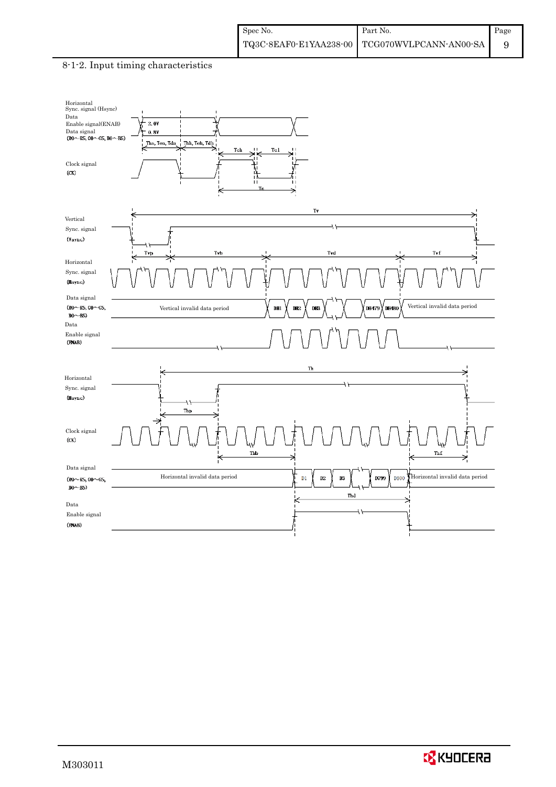#### 8-1-2. Input timing characteristics



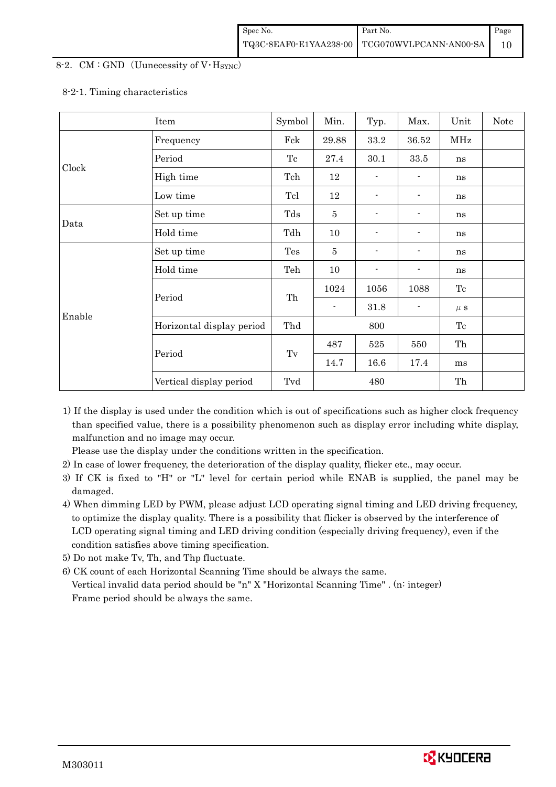#### 8-2. CM : GND (Uunecessity of  $V$  Hsync)

#### 8-2-1. Timing characteristics

|        | Item                      | Symbol | Min.           | Typ.           | Max.           | Unit    | Note |
|--------|---------------------------|--------|----------------|----------------|----------------|---------|------|
|        | Frequency                 | Fck    | 29.88          | 33.2           | 36.52          | MHz     |      |
|        | Period                    | Tc     | 27.4           | 30.1           | 33.5           | ns      |      |
| Clock  | High time                 | Tch    | 12             |                |                | ns      |      |
|        | Low time                  | Tcl    | 12             |                |                | ns      |      |
| Data   | Set up time               | Tds    | $\overline{5}$ |                |                | ns      |      |
|        | Hold time                 | Tdh    | 10             |                |                | ns      |      |
| Enable | Set up time               | Tes    | $\overline{5}$ |                |                | ns      |      |
|        | Hold time                 | Teh    | 10             | $\blacksquare$ |                | ns      |      |
|        | Period                    | Th     | 1024           | 1056           | 1088           | Tc      |      |
|        |                           |        | $\blacksquare$ | 31.8           | $\blacksquare$ | $\mu$ s |      |
|        | Horizontal display period | Thd    | 800            |                |                | Tc      |      |
|        |                           |        | 487            | 525            | 550            | Th      |      |
|        | Period                    | Tv     | 14.7           | 16.6           | 17.4           | ms      |      |
|        | Vertical display period   | Tvd    | 480            |                | Th             |         |      |

1) If the display is used under the condition which is out of specifications such as higher clock frequency than specified value, there is a possibility phenomenon such as display error including white display, malfunction and no image may occur.

Please use the display under the conditions written in the specification.

- 2) In case of lower frequency, the deterioration of the display quality, flicker etc., may occur.
- 3) If CK is fixed to "H" or "L" level for certain period while ENAB is supplied, the panel may be damaged.
- 4) When dimming LED by PWM, please adjust LCD operating signal timing and LED driving frequency, to optimize the display quality. There is a possibility that flicker is observed by the interference of LCD operating signal timing and LED driving condition (especially driving frequency), even if the condition satisfies above timing specification.
- 5) Do not make Tv, Th, and Thp fluctuate.
- 6) CK count of each Horizontal Scanning Time should be always the same. Vertical invalid data period should be "n" X "Horizontal Scanning Time" . (n: integer) Frame period should be always the same.

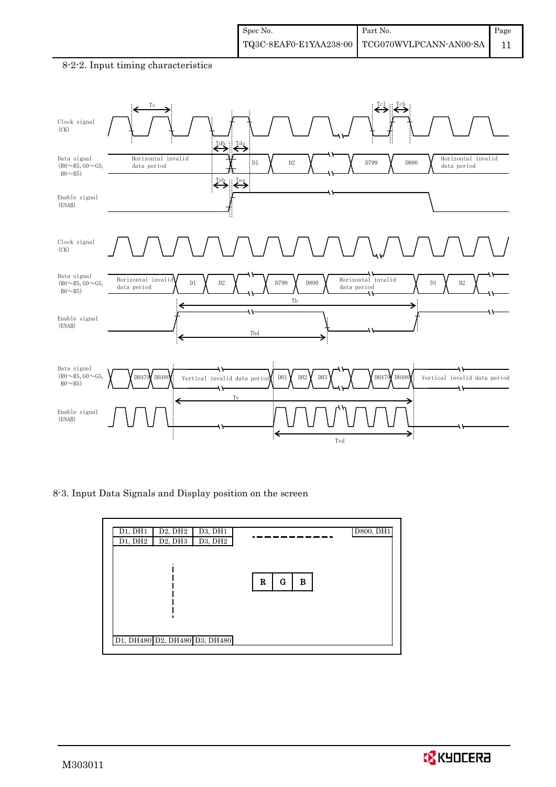#### Tc Tcl :: Tch Clock signal (CK) <sup>Tdh</sup> √<sup>Tds</sup> Data signal Horizontal invalid Horizontal invalid D1 **Y** D2 **Y** Y D799 **Y** D800 data period data period  $(R0~R5, GO~G5,$  $B0~B5)$  $\left\langle \left\langle \cdot \right\rangle \right\rangle$ Enable signal (ENAB) Clock signal (CK) Data signal Horizontal invalid Horizontal invalid  $(R0~R5, G0~G5,$  $D1$   $\gamma$   $D2$   $\gamma$   $\gamma$   $D799$   $\gamma$  D800  $\gamma$  D112000041 Invaria  $\gamma$  D1  $\gamma$  D2 data period data period  $B0~B5)$ Th Enable signal (ENAB) Thd Data signal DH1 $\gamma$  DH2 $\gamma$  DH3 $\gamma$   $\gamma$   $\gamma$  DH479 DH480  $(R0~R5, GO~G5,$  $DH479$  DH480 Vertical invalid data perio Vertical invalid data period  $B0~B5)$  $\overline{1}$ Tv Enable signal (ENAB) → Tvd

#### 8-2-2. Input timing characteristics

8-3. Input Data Signals and Display position on the screen

| D1, DH1<br>D1, DH2 | D <sub>2</sub> , DH <sub>2</sub><br>D <sub>2</sub> , DH <sub>3</sub> | D3, DH1<br>D3, DH2            |             | <b>D800, DH1</b> |
|--------------------|----------------------------------------------------------------------|-------------------------------|-------------|------------------|
|                    |                                                                      |                               |             |                  |
|                    |                                                                      |                               | G<br>R<br>B |                  |
|                    |                                                                      |                               |             |                  |
|                    |                                                                      |                               |             |                  |
|                    |                                                                      | D1, DH480 D2, DH480 D3, DH480 |             |                  |

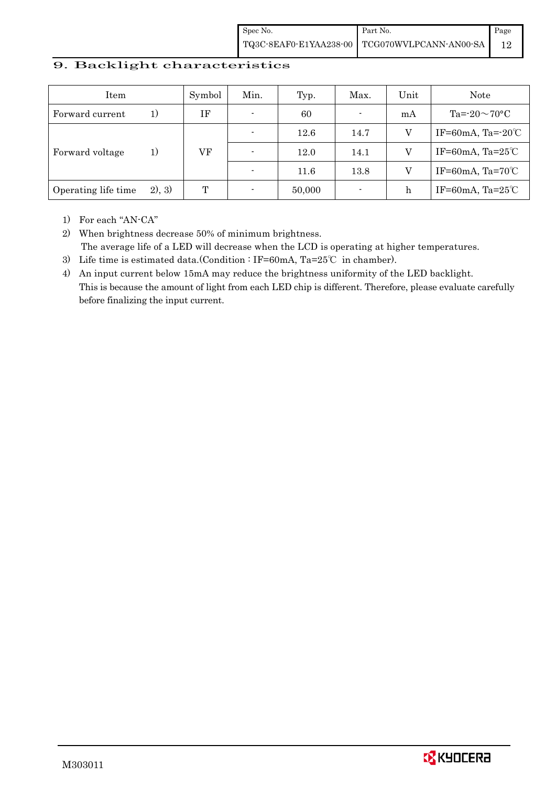| Spec No. | Part No.                                      | Page |
|----------|-----------------------------------------------|------|
|          | TQ3C-8EAF0-E1YAA238-00 TCG070WVLPCANN-AN00-SA |      |

#### 9. Backlight characteristics

| Item                |        | Symbol | Min.                     | Typ.   | Max.           | Unit | Note                         |
|---------------------|--------|--------|--------------------------|--------|----------------|------|------------------------------|
| Forward current     | 1)     | ΙF     | $\overline{\phantom{0}}$ | 60     | $\blacksquare$ | mA   | Ta= $-20\sim70$ °C           |
|                     | 1)     |        |                          | 12.6   | 14.7           |      | IF=60mA, Ta= $-20^{\circ}$ C |
| Forward voltage     |        | VF     |                          | 12.0   | 14.1           |      | IF=60mA, Ta= $25^{\circ}$ C  |
|                     |        |        |                          | 11.6   | 13.8           |      | IF=60mA, Ta= $70^{\circ}$ C  |
| Operating life time | 2), 3) | T      |                          | 50,000 | $\blacksquare$ | h    | IF=60mA, Ta= $25^{\circ}$ C  |

1) For each "AN-CA"

2) When brightness decrease 50% of minimum brightness. The average life of a LED will decrease when the LCD is operating at higher temperatures.

- 3) Life time is estimated data.(Condition : IF=60mA, Ta=25℃ in chamber).
- 4) An input current below 15mA may reduce the brightness uniformity of the LED backlight. This is because the amount of light from each LED chip is different. Therefore, please evaluate carefully before finalizing the input current.

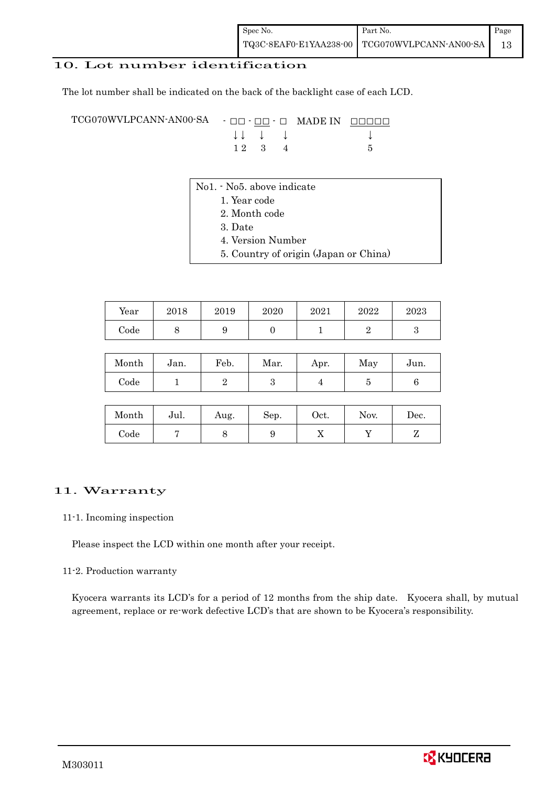#### 10. Lot number identification

The lot number shall be indicated on the back of the backlight case of each LCD.

TCG070WVLPCANN-AN00-SA - □□ - □□ - □ MADE IN □□□□□ ↓ ↓ ↓ ↓ ↓  $12 \quad 3 \quad 4$  5

- No1. No5. above indicate
	- 1. Year code
		- 2. Month code
		- 3. Date
		- 4. Version Number
		- 5. Country of origin (Japan or China)

| Year | 2018 | 2019 | 2020 | 2021 | 2022 | 2023 |
|------|------|------|------|------|------|------|
| Code |      | ັ    |      |      |      |      |

| Month      | Jan. | Feb. | Mar. | Apr. | May | Jun. |
|------------|------|------|------|------|-----|------|
| $\rm Code$ |      |      |      |      |     |      |

| Month | Jul. | Aug. | Sep. | Oct. | Nov. | Dec. |
|-------|------|------|------|------|------|------|
| Code  |      | ◡    |      | 77   |      |      |

#### 11. Warranty

#### 11-1. Incoming inspection

Please inspect the LCD within one month after your receipt.

#### 11-2. Production warranty

 Kyocera warrants its LCD's for a period of 12 months from the ship date. Kyocera shall, by mutual agreement, replace or re-work defective LCD's that are shown to be Kyocera's responsibility.

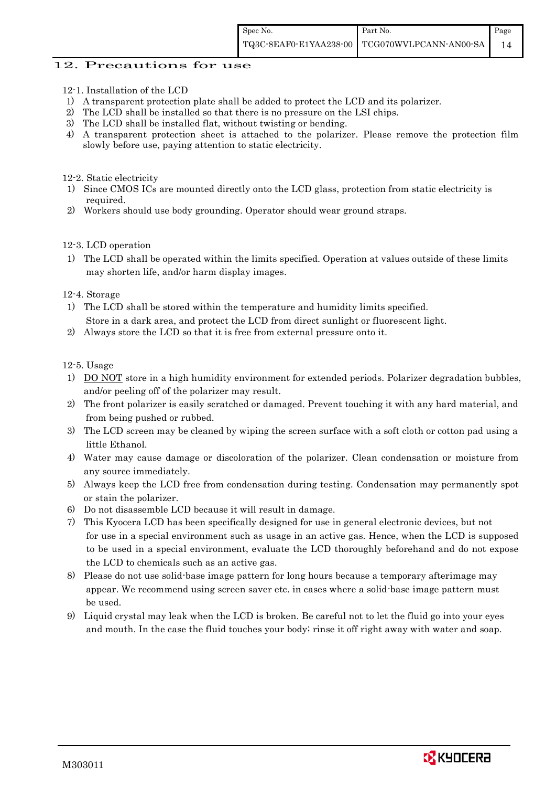#### 12. Precautions for use

- 12-1. Installation of the LCD
- 1) A transparent protection plate shall be added to protect the LCD and its polarizer.
- 2) The LCD shall be installed so that there is no pressure on the LSI chips.
- 3) The LCD shall be installed flat, without twisting or bending.
- 4) A transparent protection sheet is attached to the polarizer. Please remove the protection film slowly before use, paying attention to static electricity.

12-2. Static electricity

- 1) Since CMOS ICs are mounted directly onto the LCD glass, protection from static electricity is required.
- 2) Workers should use body grounding. Operator should wear ground straps.

#### 12-3. LCD operation

1) The LCD shall be operated within the limits specified. Operation at values outside of these limits may shorten life, and/or harm display images.

#### 12-4. Storage

- 1) The LCD shall be stored within the temperature and humidity limits specified. Store in a dark area, and protect the LCD from direct sunlight or fluorescent light.
- 2) Always store the LCD so that it is free from external pressure onto it.

12-5. Usage

- 1) DO NOT store in a high humidity environment for extended periods. Polarizer degradation bubbles, and/or peeling off of the polarizer may result.
- 2) The front polarizer is easily scratched or damaged. Prevent touching it with any hard material, and from being pushed or rubbed.
- 3) The LCD screen may be cleaned by wiping the screen surface with a soft cloth or cotton pad using a little Ethanol.
- 4) Water may cause damage or discoloration of the polarizer. Clean condensation or moisture from any source immediately.
- 5) Always keep the LCD free from condensation during testing. Condensation may permanently spot or stain the polarizer.
- 6) Do not disassemble LCD because it will result in damage.
- 7) This Kyocera LCD has been specifically designed for use in general electronic devices, but not for use in a special environment such as usage in an active gas. Hence, when the LCD is supposed to be used in a special environment, evaluate the LCD thoroughly beforehand and do not expose the LCD to chemicals such as an active gas.
- 8) Please do not use solid-base image pattern for long hours because a temporary afterimage may appear. We recommend using screen saver etc. in cases where a solid-base image pattern must be used.
- 9) Liquid crystal may leak when the LCD is broken. Be careful not to let the fluid go into your eyes and mouth. In the case the fluid touches your body; rinse it off right away with water and soap.

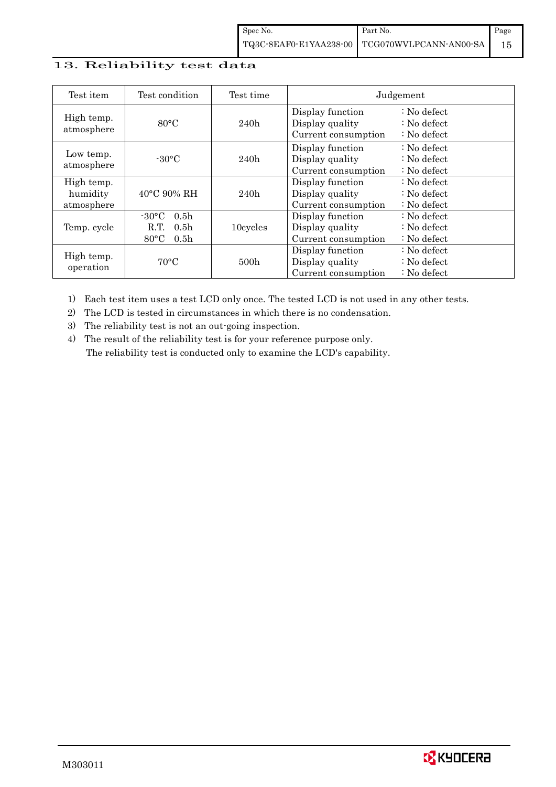### 13. Reliability test data

| Test item                            | Test condition                                                                                        | Test time        |                                                            | Judgement                                                         |
|--------------------------------------|-------------------------------------------------------------------------------------------------------|------------------|------------------------------------------------------------|-------------------------------------------------------------------|
| High temp.<br>atmosphere             | $80^{\circ}$ C                                                                                        | 240h             | Display function<br>Display quality<br>Current consumption | $\therefore$ No defect<br>$: No$ defect<br>$\therefore$ No defect |
| Low temp.<br>atmosphere              | $-30^{\circ}$ C                                                                                       | 240h             | Display function<br>Display quality<br>Current consumption | $\therefore$ No defect<br>$: No$ defect<br>$: No$ defect          |
| High temp.<br>humidity<br>atmosphere | $40^{\circ}$ C 90% RH                                                                                 | 240h             | Display function<br>Display quality<br>Current consumption | $\therefore$ No defect<br>$: No$ defect<br>$\therefore$ No defect |
| Temp. cycle                          | $-30^{\circ}$ C<br>0.5 <sub>h</sub><br>0.5 <sub>h</sub><br>R.T.<br>$80^{\circ}$ C<br>0.5 <sub>h</sub> | 10cycles         | Display function<br>Display quality<br>Current consumption | $\therefore$ No defect<br>$: No$ defect<br>$: No$ defect          |
| High temp.<br>operation              | $70^{\circ}$ C                                                                                        | 500 <sub>h</sub> | Display function<br>Display quality<br>Current consumption | $\therefore$ No defect<br>$\therefore$ No defect<br>$: No$ defect |

1) Each test item uses a test LCD only once. The tested LCD is not used in any other tests.

2) The LCD is tested in circumstances in which there is no condensation.

3) The reliability test is not an out-going inspection.

4) The result of the reliability test is for your reference purpose only. The reliability test is conducted only to examine the LCD's capability.

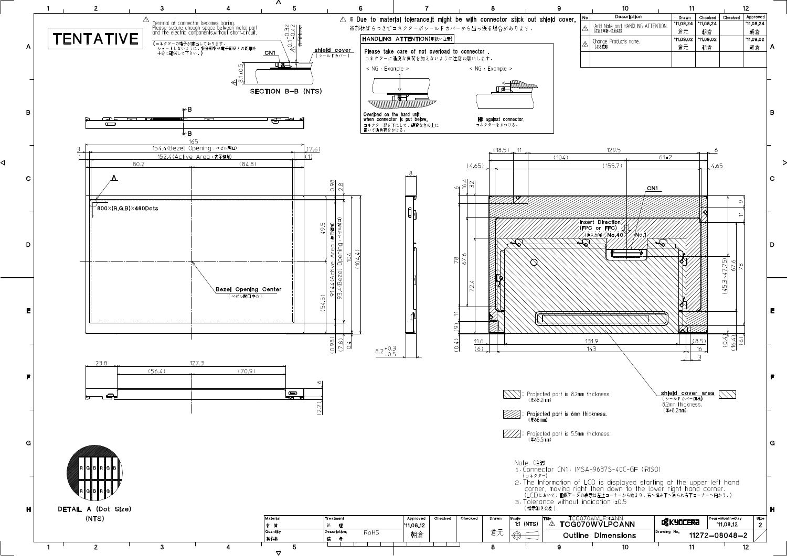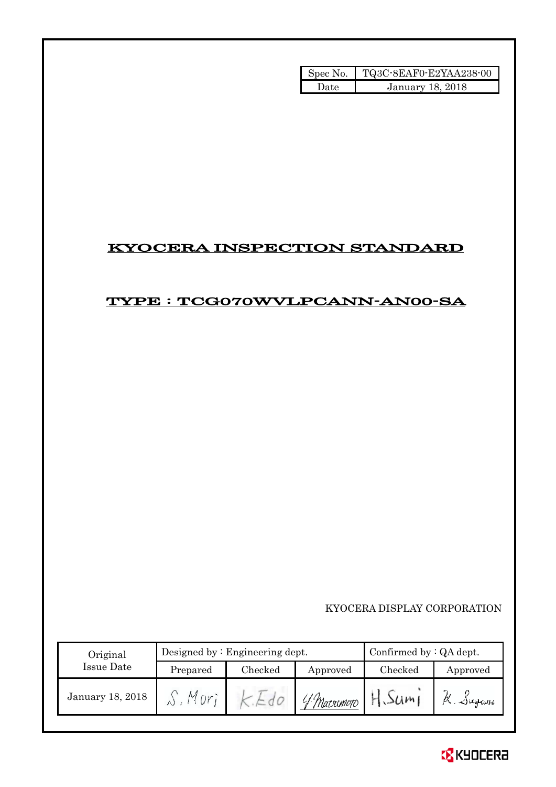| Spec No. | TQ3C-8EAF0-E2YAA238-00 |
|----------|------------------------|
| Atatl    | January 18, 2018       |

# KYOCERA INSPECTION STANDARD

## TYPE : TCG070WVLPCANN-AN00-SA

### KYOCERA DISPLAY CORPORATION

| Original         |          | Designed by: Engineering dept. | Confirmed by $:QA$ dept. |         |           |
|------------------|----------|--------------------------------|--------------------------|---------|-----------|
| Issue Date       | Prepared | Checked                        | Approved                 | Checked | Approved  |
| January 18, 2018 |          |                                | 4 Marximoto              |         | a. Jugani |

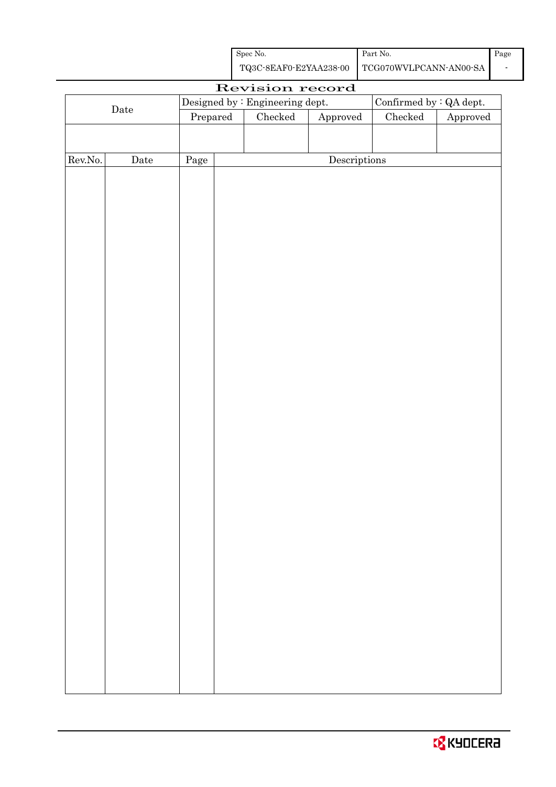| Spec No. | Part No.                                      | Page |
|----------|-----------------------------------------------|------|
|          | TQ3C-8EAF0-E2YAA238-00 TCG070WVLPCANN-AN00-SA |      |

|         | Revision record |                                  |  |                                 |                        |                                |          |
|---------|-----------------|----------------------------------|--|---------------------------------|------------------------|--------------------------------|----------|
|         |                 |                                  |  | Designed by : Engineering dept. |                        | Confirmed by $\colon$ QA dept. |          |
|         | $\rm{Date}$     | $\ensuremath{\mathrm{Prepared}}$ |  | Checked                         | ${\Large\bf Approved}$ | Checked                        | Approved |
|         |                 |                                  |  |                                 |                        |                                |          |
|         |                 |                                  |  |                                 |                        |                                |          |
| Rev.No. | Date            | Page                             |  |                                 | Descriptions           |                                |          |
|         |                 |                                  |  |                                 |                        |                                |          |
|         |                 |                                  |  |                                 |                        |                                |          |
|         |                 |                                  |  |                                 |                        |                                |          |
|         |                 |                                  |  |                                 |                        |                                |          |
|         |                 |                                  |  |                                 |                        |                                |          |
|         |                 |                                  |  |                                 |                        |                                |          |
|         |                 |                                  |  |                                 |                        |                                |          |
|         |                 |                                  |  |                                 |                        |                                |          |
|         |                 |                                  |  |                                 |                        |                                |          |
|         |                 |                                  |  |                                 |                        |                                |          |
|         |                 |                                  |  |                                 |                        |                                |          |
|         |                 |                                  |  |                                 |                        |                                |          |
|         |                 |                                  |  |                                 |                        |                                |          |
|         |                 |                                  |  |                                 |                        |                                |          |
|         |                 |                                  |  |                                 |                        |                                |          |
|         |                 |                                  |  |                                 |                        |                                |          |
|         |                 |                                  |  |                                 |                        |                                |          |
|         |                 |                                  |  |                                 |                        |                                |          |
|         |                 |                                  |  |                                 |                        |                                |          |
|         |                 |                                  |  |                                 |                        |                                |          |
|         |                 |                                  |  |                                 |                        |                                |          |
|         |                 |                                  |  |                                 |                        |                                |          |
|         |                 |                                  |  |                                 |                        |                                |          |
|         |                 |                                  |  |                                 |                        |                                |          |
|         |                 |                                  |  |                                 |                        |                                |          |
|         |                 |                                  |  |                                 |                        |                                |          |
|         |                 |                                  |  |                                 |                        |                                |          |
|         |                 |                                  |  |                                 |                        |                                |          |
|         |                 |                                  |  |                                 |                        |                                |          |
|         |                 |                                  |  |                                 |                        |                                |          |
|         |                 |                                  |  |                                 |                        |                                |          |
|         |                 |                                  |  |                                 |                        |                                |          |
|         |                 |                                  |  |                                 |                        |                                |          |
|         |                 |                                  |  |                                 |                        |                                |          |
|         |                 |                                  |  |                                 |                        |                                |          |
|         |                 |                                  |  |                                 |                        |                                |          |
|         |                 |                                  |  |                                 |                        |                                |          |
|         |                 |                                  |  |                                 |                        |                                |          |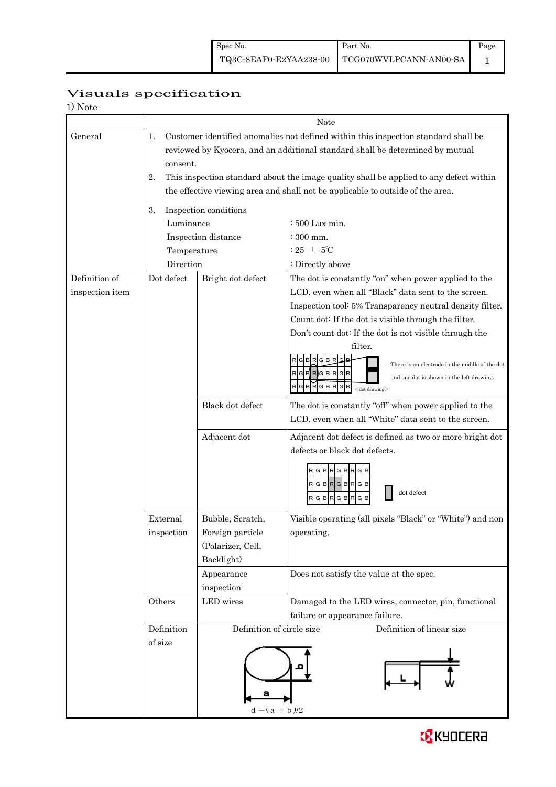## Visuals specification

| 1) Note         |                                                                                              |                           |                                                                                                              |  |  |  |  |  |
|-----------------|----------------------------------------------------------------------------------------------|---------------------------|--------------------------------------------------------------------------------------------------------------|--|--|--|--|--|
|                 |                                                                                              |                           | Note                                                                                                         |  |  |  |  |  |
| General         | 1.                                                                                           |                           | Customer identified anomalies not defined within this inspection standard shall be                           |  |  |  |  |  |
|                 | reviewed by Kyocera, and an additional standard shall be determined by mutual                |                           |                                                                                                              |  |  |  |  |  |
|                 | consent.                                                                                     |                           |                                                                                                              |  |  |  |  |  |
|                 | This inspection standard about the image quality shall be applied to any defect within<br>2. |                           |                                                                                                              |  |  |  |  |  |
|                 | the effective viewing area and shall not be applicable to outside of the area.               |                           |                                                                                                              |  |  |  |  |  |
|                 | 3.                                                                                           | Inspection conditions     |                                                                                                              |  |  |  |  |  |
|                 | Luminance                                                                                    |                           | $\div 500$ Lux min.                                                                                          |  |  |  |  |  |
|                 |                                                                                              | Inspection distance       | $:300$ mm.                                                                                                   |  |  |  |  |  |
|                 | Temperature                                                                                  |                           | : 25 $\pm$ 5°C                                                                                               |  |  |  |  |  |
|                 | Direction                                                                                    |                           | : Directly above                                                                                             |  |  |  |  |  |
| Definition of   | Dot defect                                                                                   | Bright dot defect         | The dot is constantly "on" when power applied to the                                                         |  |  |  |  |  |
| inspection item |                                                                                              |                           | LCD, even when all "Black" data sent to the screen.                                                          |  |  |  |  |  |
|                 |                                                                                              |                           | Inspection tool: 5% Transparency neutral density filter.                                                     |  |  |  |  |  |
|                 |                                                                                              |                           | Count dot: If the dot is visible through the filter.                                                         |  |  |  |  |  |
|                 |                                                                                              |                           | Don't count dot: If the dot is not visible through the                                                       |  |  |  |  |  |
|                 |                                                                                              |                           | filter.                                                                                                      |  |  |  |  |  |
|                 |                                                                                              |                           | There is an electrode in the middle of the dot<br>GBRGBRGB                                                   |  |  |  |  |  |
|                 |                                                                                              |                           | and one dot is shown in the left drawing.<br>BRGBRGB<br>G                                                    |  |  |  |  |  |
|                 |                                                                                              |                           | $<$ dot drawing $>$                                                                                          |  |  |  |  |  |
|                 |                                                                                              | Black dot defect          | The dot is constantly "off" when power applied to the<br>LCD, even when all "White" data sent to the screen. |  |  |  |  |  |
|                 |                                                                                              |                           |                                                                                                              |  |  |  |  |  |
|                 |                                                                                              | Adjacent dot              | Adjacent dot defect is defined as two or more bright dot                                                     |  |  |  |  |  |
|                 |                                                                                              |                           | defects or black dot defects.                                                                                |  |  |  |  |  |
|                 |                                                                                              |                           | <b>RGB</b><br>G<br>B                                                                                         |  |  |  |  |  |
|                 |                                                                                              |                           | RGBRGBRGB                                                                                                    |  |  |  |  |  |
|                 |                                                                                              |                           | dot defect<br>R<br>G B<br>R<br>R                                                                             |  |  |  |  |  |
|                 | External                                                                                     | Bubble, Scratch,          | Visible operating (all pixels "Black" or "White") and non                                                    |  |  |  |  |  |
|                 | inspection                                                                                   | Foreign particle          | operating.                                                                                                   |  |  |  |  |  |
|                 |                                                                                              | (Polarizer, Cell,         |                                                                                                              |  |  |  |  |  |
|                 |                                                                                              | Backlight)                |                                                                                                              |  |  |  |  |  |
|                 |                                                                                              | Appearance                | Does not satisfy the value at the spec.                                                                      |  |  |  |  |  |
|                 |                                                                                              | inspection                |                                                                                                              |  |  |  |  |  |
|                 | Others                                                                                       | LED wires                 | Damaged to the LED wires, connector, pin, functional                                                         |  |  |  |  |  |
|                 |                                                                                              |                           | failure or appearance failure.                                                                               |  |  |  |  |  |
|                 | Definition                                                                                   | Definition of circle size | Definition of linear size                                                                                    |  |  |  |  |  |
|                 | of size                                                                                      |                           |                                                                                                              |  |  |  |  |  |
|                 |                                                                                              |                           |                                                                                                              |  |  |  |  |  |
|                 |                                                                                              |                           |                                                                                                              |  |  |  |  |  |
|                 |                                                                                              |                           |                                                                                                              |  |  |  |  |  |
|                 |                                                                                              | $d = (a + b)/2$           |                                                                                                              |  |  |  |  |  |
|                 |                                                                                              |                           |                                                                                                              |  |  |  |  |  |